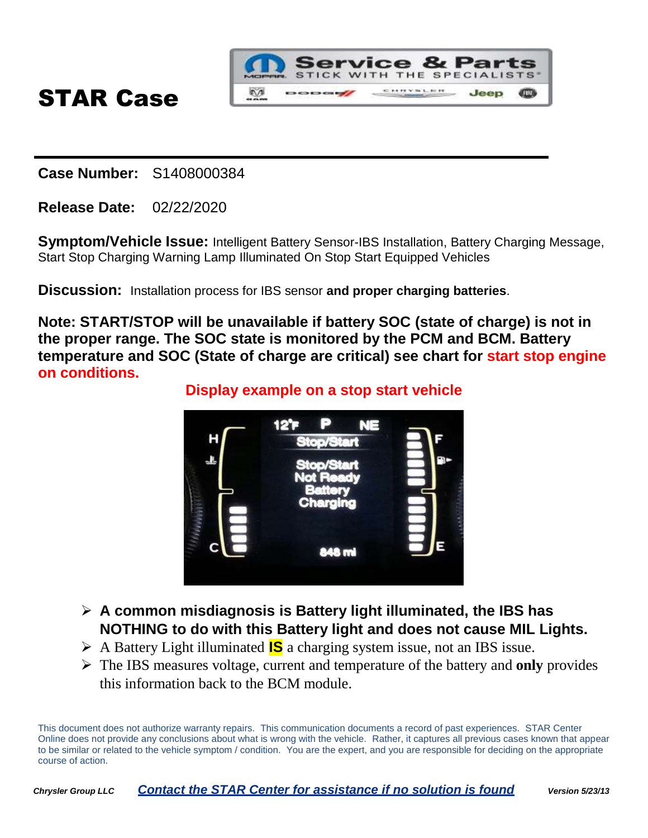

**Case Number:** S1408000384

**Release Date:** 02/22/2020

**Symptom/Vehicle Issue:** Intelligent Battery Sensor-IBS Installation, Battery Charging Message, Start Stop Charging Warning Lamp Illuminated On Stop Start Equipped Vehicles

**Discussion:** Installation process for IBS sensor **and proper charging batteries**.

**Note: START/STOP will be unavailable if battery SOC (state of charge) is not in the proper range. The SOC state is monitored by the PCM and BCM. Battery temperature and SOC (State of charge are critical) see chart for start stop engine on conditions.**

**Display example on a stop start vehicle**



- **A common misdiagnosis is Battery light illuminated, the IBS has NOTHING to do with this Battery light and does not cause MIL Lights.**
- A Battery Light illuminated **IS** a charging system issue, not an IBS issue.
- The IBS measures voltage, current and temperature of the battery and **only** provides this information back to the BCM module.

This document does not authorize warranty repairs. This communication documents a record of past experiences. STAR Center Online does not provide any conclusions about what is wrong with the vehicle. Rather, it captures all previous cases known that appear to be similar or related to the vehicle symptom / condition. You are the expert, and you are responsible for deciding on the appropriate course of action.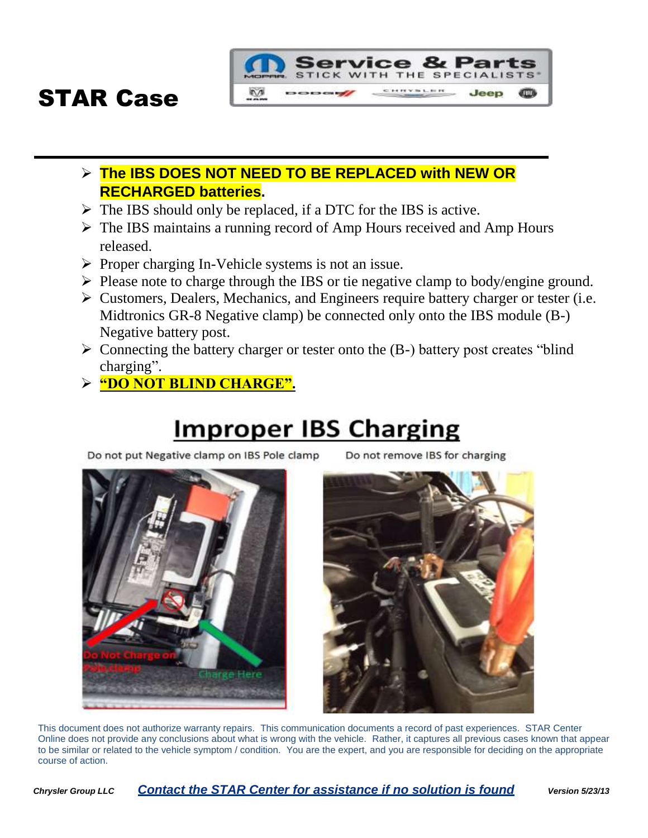



- $\triangleright$  The IBS should only be replaced, if a DTC for the IBS is active.
- $\triangleright$  The IBS maintains a running record of Amp Hours received and Amp Hours released.

**DODGE** 

 $\triangleright$  Proper charging In-Vehicle systems is not an issue.

 $\sqrt{2}$ 

- $\triangleright$  Please note to charge through the IBS or tie negative clamp to body/engine ground.
- $\triangleright$  Customers, Dealers, Mechanics, and Engineers require battery charger or tester (i.e. Midtronics GR-8 Negative clamp) be connected only onto the IBS module (B-) Negative battery post.
- $\triangleright$  Connecting the battery charger or tester onto the (B-) battery post creates "blind" charging".
- **"DO NOT BLIND CHARGE".**

### **Improper IBS Charging**

Do not put Negative clamp on IBS Pole clamp



**Service & Parts** STICK WITH THE SPECIALISTS CHRYSLER

Jeep





This document does not authorize warranty repairs. This communication documents a record of past experiences. STAR Center Online does not provide any conclusions about what is wrong with the vehicle. Rather, it captures all previous cases known that appear to be similar or related to the vehicle symptom / condition. You are the expert, and you are responsible for deciding on the appropriate course of action.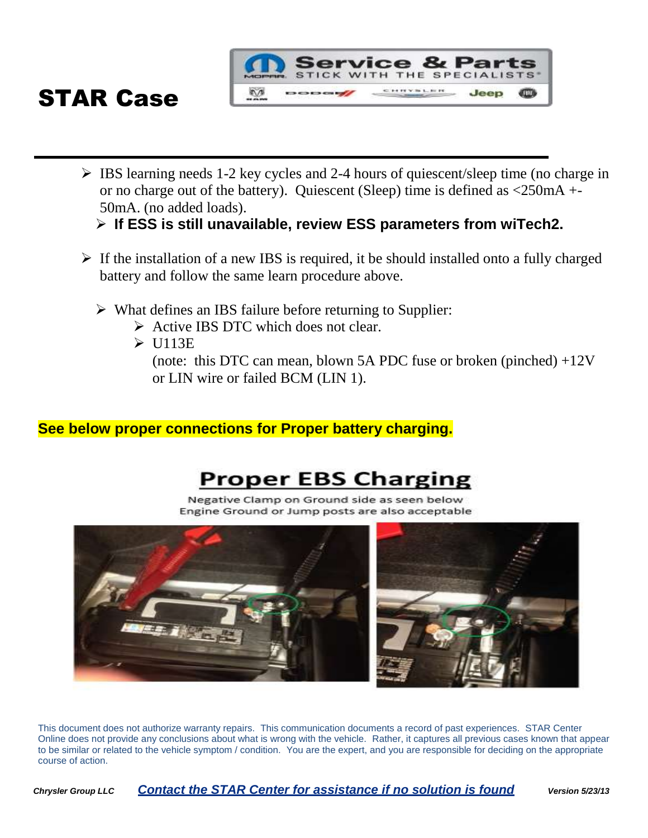

 $\triangleright$  IBS learning needs 1-2 key cycles and 2-4 hours of quiescent/sleep time (no charge in or no charge out of the battery). Quiescent (Sleep) time is defined as <250mA +- 50mA. (no added loads).

### **If ESS is still unavailable, review ESS parameters from wiTech2.**

- $\triangleright$  If the installation of a new IBS is required, it be should installed onto a fully charged battery and follow the same learn procedure above.
	- $\triangleright$  What defines an IBS failure before returning to Supplier:
		- $\triangleright$  Active IBS DTC which does not clear.
		- $\triangleright$  U113E

(note: this DTC can mean, blown 5A PDC fuse or broken (pinched)  $+12V$ or LIN wire or failed BCM (LIN 1).

### **See below proper connections for Proper battery charging.**

### **Proper EBS Charging**

Negative Clamp on Ground side as seen below Engine Ground or Jump posts are also acceptable



This document does not authorize warranty repairs. This communication documents a record of past experiences. STAR Center Online does not provide any conclusions about what is wrong with the vehicle. Rather, it captures all previous cases known that appear to be similar or related to the vehicle symptom / condition. You are the expert, and you are responsible for deciding on the appropriate course of action.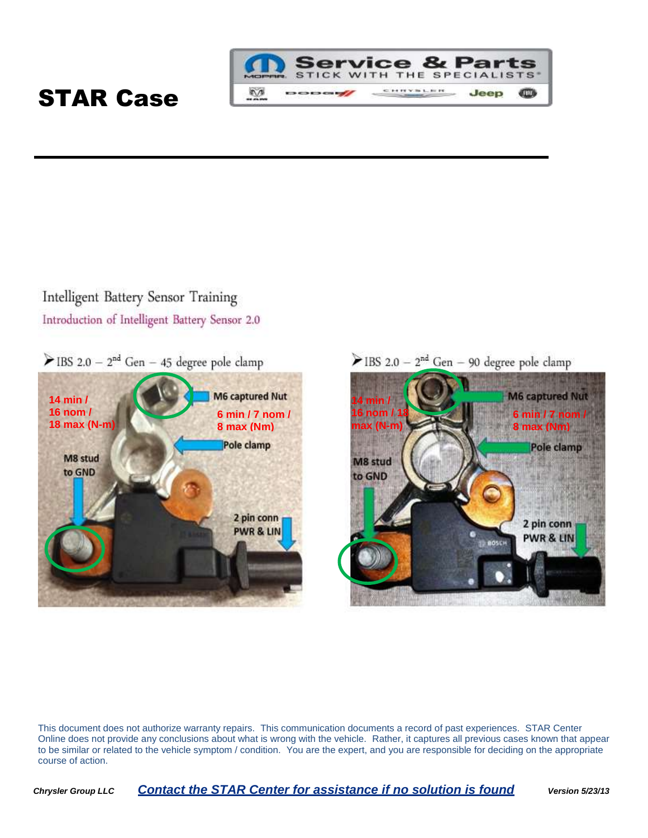

### Intelligent Battery Sensor Training Introduction of Intelligent Battery Sensor 2.0

 $\blacktriangleright$  IBS 2.0 - 2<sup>nd</sup> Gen - 45 degree pole clamp



EIBS 2.0 -  $2^{nd}$  Gen - 90 degree pole clamp



This document does not authorize warranty repairs. This communication documents a record of past experiences. STAR Center Online does not provide any conclusions about what is wrong with the vehicle. Rather, it captures all previous cases known that appear to be similar or related to the vehicle symptom / condition. You are the expert, and you are responsible for deciding on the appropriate course of action.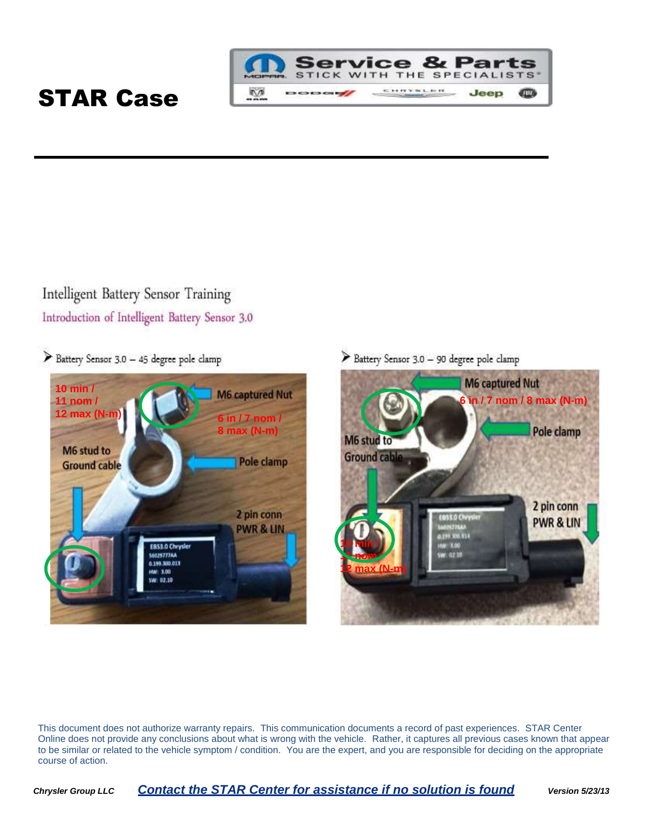

### Intelligent Battery Sensor Training Introduction of Intelligent Battery Sensor 3.0

Battery Sensor 3.0 - 45 degree pole clamp



Battery Sensor 3.0 - 90 degree pole clamp



This document does not authorize warranty repairs. This communication documents a record of past experiences. STAR Center Online does not provide any conclusions about what is wrong with the vehicle. Rather, it captures all previous cases known that appear to be similar or related to the vehicle symptom / condition. You are the expert, and you are responsible for deciding on the appropriate course of action.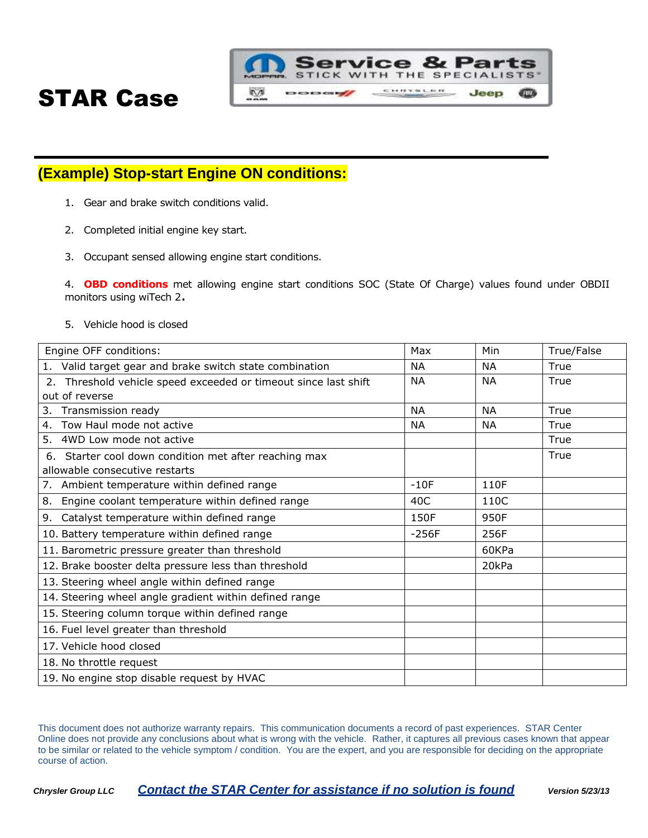

### **(Example) Stop-start Engine ON conditions:**

- 1. Gear and brake switch conditions valid.
- 2. Completed initial engine key start.
- 3. Occupant sensed allowing engine start conditions.

4. **OBD conditions** met allowing engine start conditions SOC (State Of Charge) values found under OBDII monitors using wiTech 2.

5. Vehicle hood is closed

| Engine OFF conditions:                                                               | Max       | Min       | True/False |
|--------------------------------------------------------------------------------------|-----------|-----------|------------|
| 1. Valid target gear and brake switch state combination                              | <b>NA</b> | <b>NA</b> | True       |
| Threshold vehicle speed exceeded or timeout since last shift<br>2.                   | <b>NA</b> | <b>NA</b> | True       |
| out of reverse                                                                       |           |           |            |
| 3.<br>Transmission ready                                                             | <b>NA</b> | <b>NA</b> | True       |
| 4. Tow Haul mode not active                                                          | ΝA        | <b>NA</b> | True       |
| 5. 4WD Low mode not active                                                           |           |           | True       |
| Starter cool down condition met after reaching max<br>allowable consecutive restarts |           |           | True       |
| 7. Ambient temperature within defined range                                          | $-10F$    | 110F      |            |
| Engine coolant temperature within defined range<br>8.                                | 40C       | 110C      |            |
| 9. Catalyst temperature within defined range                                         | 150F      | 950F      |            |
| 10. Battery temperature within defined range                                         | $-256F$   | 256F      |            |
| 11. Barometric pressure greater than threshold                                       |           | 60KPa     |            |
| 12. Brake booster delta pressure less than threshold                                 |           | 20kPa     |            |
| 13. Steering wheel angle within defined range                                        |           |           |            |
| 14. Steering wheel angle gradient within defined range                               |           |           |            |
| 15. Steering column torque within defined range                                      |           |           |            |
| 16. Fuel level greater than threshold                                                |           |           |            |
| 17. Vehicle hood closed                                                              |           |           |            |
| 18. No throttle request                                                              |           |           |            |
| 19. No engine stop disable request by HVAC                                           |           |           |            |

This document does not authorize warranty repairs. This communication documents a record of past experiences. STAR Center Online does not provide any conclusions about what is wrong with the vehicle. Rather, it captures all previous cases known that appear to be similar or related to the vehicle symptom / condition. You are the expert, and you are responsible for deciding on the appropriate course of action.